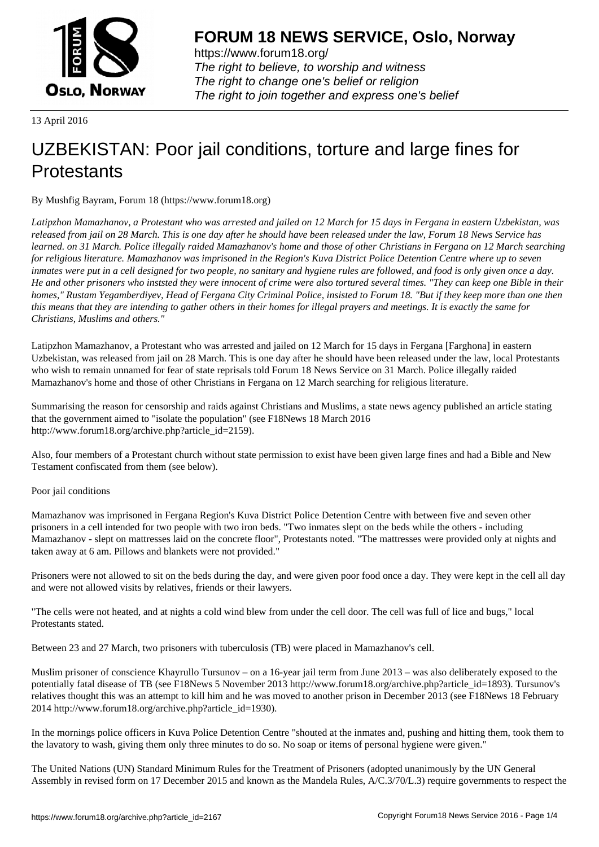

https://www.forum18.org/ The right to believe, to worship and witness The right to change one's belief or religion [The right to join together a](https://www.forum18.org/)nd express one's belief

13 April 2016

# [UZBEKISTAN:](https://www.forum18.org) Poor jail conditions, torture and large fines for **Protestants**

By Mushfig Bayram, Forum 18 (https://www.forum18.org)

*Latipzhon Mamazhanov, a Protestant who was arrested and jailed on 12 March for 15 days in Fergana in eastern Uzbekistan, was released from jail on 28 March. This is one day after he should have been released under the law, Forum 18 News Service has learned. on 31 March. Police illegally raided Mamazhanov's home and those of other Christians in Fergana on 12 March searching for religious literature. Mamazhanov was imprisoned in the Region's Kuva District Police Detention Centre where up to seven inmates were put in a cell designed for two people, no sanitary and hygiene rules are followed, and food is only given once a day. He and other prisoners who inststed they were innocent of crime were also tortured several times. "They can keep one Bible in their homes," Rustam Yegamberdiyev, Head of Fergana City Criminal Police, insisted to Forum 18. "But if they keep more than one then this means that they are intending to gather others in their homes for illegal prayers and meetings. It is exactly the same for Christians, Muslims and others."*

Latipzhon Mamazhanov, a Protestant who was arrested and jailed on 12 March for 15 days in Fergana [Farghona] in eastern Uzbekistan, was released from jail on 28 March. This is one day after he should have been released under the law, local Protestants who wish to remain unnamed for fear of state reprisals told Forum 18 News Service on 31 March. Police illegally raided Mamazhanov's home and those of other Christians in Fergana on 12 March searching for religious literature.

Summarising the reason for censorship and raids against Christians and Muslims, a state news agency published an article stating that the government aimed to "isolate the population" (see F18News 18 March 2016 http://www.forum18.org/archive.php?article\_id=2159).

Also, four members of a Protestant church without state permission to exist have been given large fines and had a Bible and New Testament confiscated from them (see below).

## Poor jail conditions

Mamazhanov was imprisoned in Fergana Region's Kuva District Police Detention Centre with between five and seven other prisoners in a cell intended for two people with two iron beds. "Two inmates slept on the beds while the others - including Mamazhanov - slept on mattresses laid on the concrete floor", Protestants noted. "The mattresses were provided only at nights and taken away at 6 am. Pillows and blankets were not provided."

Prisoners were not allowed to sit on the beds during the day, and were given poor food once a day. They were kept in the cell all day and were not allowed visits by relatives, friends or their lawyers.

"The cells were not heated, and at nights a cold wind blew from under the cell door. The cell was full of lice and bugs," local Protestants stated.

Between 23 and 27 March, two prisoners with tuberculosis (TB) were placed in Mamazhanov's cell.

Muslim prisoner of conscience Khayrullo Tursunov – on a 16-year jail term from June 2013 – was also deliberately exposed to the potentially fatal disease of TB (see F18News 5 November 2013 http://www.forum18.org/archive.php?article\_id=1893). Tursunov's relatives thought this was an attempt to kill him and he was moved to another prison in December 2013 (see F18News 18 February 2014 http://www.forum18.org/archive.php?article\_id=1930).

In the mornings police officers in Kuva Police Detention Centre "shouted at the inmates and, pushing and hitting them, took them to the lavatory to wash, giving them only three minutes to do so. No soap or items of personal hygiene were given."

The United Nations (UN) Standard Minimum Rules for the Treatment of Prisoners (adopted unanimously by the UN General Assembly in revised form on 17 December 2015 and known as the Mandela Rules, A/C.3/70/L.3) require governments to respect the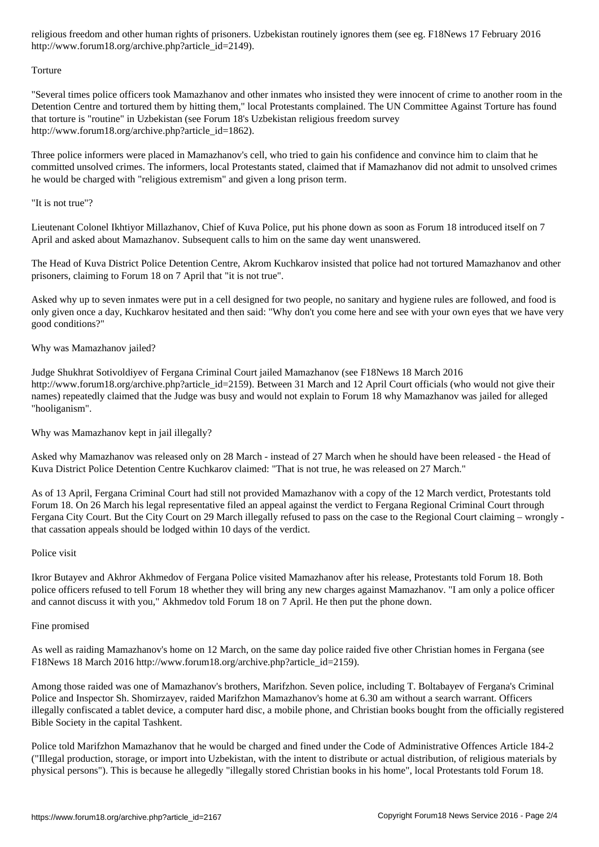### http://www.forum18.org/archive.php?article\_id=2149).

#### Torture

"Several times police officers took Mamazhanov and other inmates who insisted they were innocent of crime to another room in the Detention Centre and tortured them by hitting them," local Protestants complained. The UN Committee Against Torture has found that torture is "routine" in Uzbekistan (see Forum 18's Uzbekistan religious freedom survey http://www.forum18.org/archive.php?article\_id=1862).

Three police informers were placed in Mamazhanov's cell, who tried to gain his confidence and convince him to claim that he committed unsolved crimes. The informers, local Protestants stated, claimed that if Mamazhanov did not admit to unsolved crimes he would be charged with "religious extremism" and given a long prison term.

## "It is not true"?

Lieutenant Colonel Ikhtiyor Millazhanov, Chief of Kuva Police, put his phone down as soon as Forum 18 introduced itself on 7 April and asked about Mamazhanov. Subsequent calls to him on the same day went unanswered.

The Head of Kuva District Police Detention Centre, Akrom Kuchkarov insisted that police had not tortured Mamazhanov and other prisoners, claiming to Forum 18 on 7 April that "it is not true".

Asked why up to seven inmates were put in a cell designed for two people, no sanitary and hygiene rules are followed, and food is only given once a day, Kuchkarov hesitated and then said: "Why don't you come here and see with your own eyes that we have very good conditions?"

### Why was Mamazhanov jailed?

Judge Shukhrat Sotivoldiyev of Fergana Criminal Court jailed Mamazhanov (see F18News 18 March 2016 http://www.forum18.org/archive.php?article\_id=2159). Between 31 March and 12 April Court officials (who would not give their names) repeatedly claimed that the Judge was busy and would not explain to Forum 18 why Mamazhanov was jailed for alleged "hooliganism".

Why was Mamazhanov kept in jail illegally?

Asked why Mamazhanov was released only on 28 March - instead of 27 March when he should have been released - the Head of Kuva District Police Detention Centre Kuchkarov claimed: "That is not true, he was released on 27 March."

As of 13 April, Fergana Criminal Court had still not provided Mamazhanov with a copy of the 12 March verdict, Protestants told Forum 18. On 26 March his legal representative filed an appeal against the verdict to Fergana Regional Criminal Court through Fergana City Court. But the City Court on 29 March illegally refused to pass on the case to the Regional Court claiming – wrongly that cassation appeals should be lodged within 10 days of the verdict.

#### Police visit

Ikror Butayev and Akhror Akhmedov of Fergana Police visited Mamazhanov after his release, Protestants told Forum 18. Both police officers refused to tell Forum 18 whether they will bring any new charges against Mamazhanov. "I am only a police officer and cannot discuss it with you," Akhmedov told Forum 18 on 7 April. He then put the phone down.

#### Fine promised

As well as raiding Mamazhanov's home on 12 March, on the same day police raided five other Christian homes in Fergana (see F18News 18 March 2016 http://www.forum18.org/archive.php?article\_id=2159).

Among those raided was one of Mamazhanov's brothers, Marifzhon. Seven police, including T. Boltabayev of Fergana's Criminal Police and Inspector Sh. Shomirzayev, raided Marifzhon Mamazhanov's home at 6.30 am without a search warrant. Officers illegally confiscated a tablet device, a computer hard disc, a mobile phone, and Christian books bought from the officially registered Bible Society in the capital Tashkent.

Police told Marifzhon Mamazhanov that he would be charged and fined under the Code of Administrative Offences Article 184-2 ("Illegal production, storage, or import into Uzbekistan, with the intent to distribute or actual distribution, of religious materials by physical persons"). This is because he allegedly "illegally stored Christian books in his home", local Protestants told Forum 18.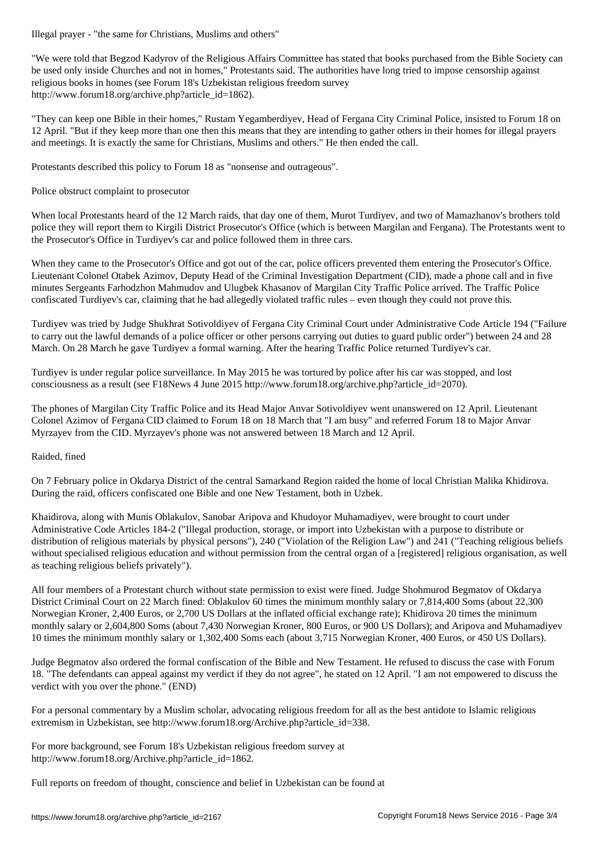"We were told that Begzod Kadyrov of the Religious Affairs Committee has stated that books purchased from the Bible Society can be used only inside Churches and not in homes," Protestants said. The authorities have long tried to impose censorship against religious books in homes (see Forum 18's Uzbekistan religious freedom survey http://www.forum18.org/archive.php?article\_id=1862).

"They can keep one Bible in their homes," Rustam Yegamberdiyev, Head of Fergana City Criminal Police, insisted to Forum 18 on 12 April. "But if they keep more than one then this means that they are intending to gather others in their homes for illegal prayers and meetings. It is exactly the same for Christians, Muslims and others." He then ended the call.

Protestants described this policy to Forum 18 as "nonsense and outrageous".

Police obstruct complaint to prosecutor

When local Protestants heard of the 12 March raids, that day one of them, Murot Turdiyev, and two of Mamazhanov's brothers told police they will report them to Kirgili District Prosecutor's Office (which is between Margilan and Fergana). The Protestants went to the Prosecutor's Office in Turdiyev's car and police followed them in three cars.

When they came to the Prosecutor's Office and got out of the car, police officers prevented them entering the Prosecutor's Office. Lieutenant Colonel Otabek Azimov, Deputy Head of the Criminal Investigation Department (CID), made a phone call and in five minutes Sergeants Farhodzhon Mahmudov and Ulugbek Khasanov of Margilan City Traffic Police arrived. The Traffic Police confiscated Turdiyev's car, claiming that he had allegedly violated traffic rules – even though they could not prove this.

Turdiyev was tried by Judge Shukhrat Sotivoldiyev of Fergana City Criminal Court under Administrative Code Article 194 ("Failure to carry out the lawful demands of a police officer or other persons carrying out duties to guard public order") between 24 and 28 March. On 28 March he gave Turdiyev a formal warning. After the hearing Traffic Police returned Turdiyev's car.

Turdiyev is under regular police surveillance. In May 2015 he was tortured by police after his car was stopped, and lost consciousness as a result (see F18News 4 June 2015 http://www.forum18.org/archive.php?article\_id=2070).

The phones of Margilan City Traffic Police and its Head Major Anvar Sotivoldiyev went unanswered on 12 April. Lieutenant Colonel Azimov of Fergana CID claimed to Forum 18 on 18 March that "I am busy" and referred Forum 18 to Major Anvar Myrzayev from the CID. Myrzayev's phone was not answered between 18 March and 12 April.

## Raided, fined

On 7 February police in Okdarya District of the central Samarkand Region raided the home of local Christian Malika Khidirova. During the raid, officers confiscated one Bible and one New Testament, both in Uzbek.

Khaidirova, along with Munis Oblakulov, Sanobar Aripova and Khudoyor Muhamadiyev, were brought to court under Administrative Code Articles 184-2 ("Illegal production, storage, or import into Uzbekistan with a purpose to distribute or distribution of religious materials by physical persons"), 240 ("Violation of the Religion Law") and 241 ("Teaching religious beliefs without specialised religious education and without permission from the central organ of a [registered] religious organisation, as well as teaching religious beliefs privately").

All four members of a Protestant church without state permission to exist were fined. Judge Shohmurod Begmatov of Okdarya District Criminal Court on 22 March fined: Oblakulov 60 times the minimum monthly salary or 7,814,400 Soms (about 22,300 Norwegian Kroner, 2,400 Euros, or 2,700 US Dollars at the inflated official exchange rate); Khidirova 20 times the minimum monthly salary or 2,604,800 Soms (about 7,430 Norwegian Kroner, 800 Euros, or 900 US Dollars); and Aripova and Muhamadiyev 10 times the minimum monthly salary or 1,302,400 Soms each (about 3,715 Norwegian Kroner, 400 Euros, or 450 US Dollars).

Judge Begmatov also ordered the formal confiscation of the Bible and New Testament. He refused to discuss the case with Forum 18. "The defendants can appeal against my verdict if they do not agree", he stated on 12 April. "I am not empowered to discuss the verdict with you over the phone." (END)

For a personal commentary by a Muslim scholar, advocating religious freedom for all as the best antidote to Islamic religious extremism in Uzbekistan, see http://www.forum18.org/Archive.php?article\_id=338.

For more background, see Forum 18's Uzbekistan religious freedom survey at http://www.forum18.org/Archive.php?article\_id=1862.

Full reports on freedom of thought, conscience and belief in Uzbekistan can be found at